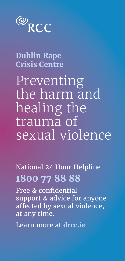

**Dublin Rape Crisis Centre**

Preventing the harm and healing the trauma of sexual violence

National 24 Hour Helpline **1800 77 88 88**

Free & confidential support & advice for anyone affected by sexual violence, at any time.

Learn more at **drcc.ie**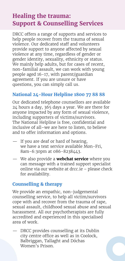# **Healing the trauma: Support & Counselling Services**

DRCC offers a range of supports and services to help people recover from the trauma of sexual violence. Our dedicated staff and volunteers provide support to anyone affected by sexual violence at any time, regardless of gender or gender identity, sexuality, ethnicity or status. We mainly help adults, but for cases of recent, non-familial assault, we can work with young people aged 16-17, with parent/guardian agreement. If you are unsure or have questions, you can simply call us.

### **National 24-Hour Helpline 1800 77 88 88**

Our dedicated telephone counsellors are available 24 hours a day, 365 days a year. We are there for anyone impacted by any form of sexual violence, including supporters of victims/survivors. The National Helpline is free, confidential and inclusive of all–we are here to listen, to believe and to offer information and options.

- If you are deaf or hard of hearing, we have a text service available Mon-Fri, 8am-6:30pm at 086-8238443.
- We also provide a **webchat service** where you can message with a trained support specialist online via our website at drcc.ie – please check for availability.

### **Counselling & therapy**

We provide an empathic, non-judgemental counselling service, to help all victim/survivors cope with and recover from the trauma of rape, sexual assault, childhood sexual abuse and sexual harassment. All our psychotherapists are fully accredited and experienced in this specialised area of work.

— DRCC provides counselling at its Dublin city centre office as well as in Coolock, Balbriggan, Tallaght and Dóchas Women's Prison.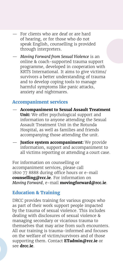- For clients who are deaf or are hard of hearing, or for those who do not speak English, counselling is provided through interpreters.
- *Moving Forward from Sexual Violence* is an online & coach-supported trauma support programme, developed in cooperation with KRTS International. It aims to give victims/ survivors a better understanding of trauma and to develop coping tools to manage harmful symptoms like panic attacks, anxiety and nightmares.

### **Accompaniment services**

- **Accompaniment to Sexual Assault Treatment Unit:** We offer psychological support and information to anyone attending the Sexual Assault Treatment Unit in the Rotunda Hospital, as well as families and friends accompanying those attending the unit.
- Justice system accompaniment: We provide information, support and accompaniment to all victims reporting or attending a court case.

For information on counselling or accompaniment services, please call 1800 77 8888 during office hours or e-mail **counselling@rcc.ie**. For information on *Moving Forward*, e-mail **movingforward@rcc.ie**.

### **Education & Training**

DRCC provides training for various groups who as part of their work support people impacted by the trauma of sexual violence. This includes dealing with disclosures of sexual violence & managing secondary or vicarious trauma to themselves that may arise from such encounters. All our training is trauma-informed and focuses on the welfare of victim/survivors and of those supporting them. Contact **ETadmin@rcc.ie** or see **drcc.ie**.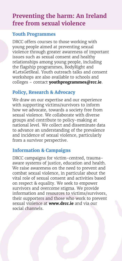# **Preventing the harm: An Ireland free from sexual violence**

### **Youth Programmes**

DRCC offers courses to those working with young people aimed at preventing sexual violence through greater awareness of important issues such as sexual consent and healthy relationships among young people, including the flagship programmes, BodyRight and #LetsGetReal. Youth outreach talks and consent workshops are also available to schools and colleges - contact **youthprogrammes@rcc.ie**.

### **Policy, Research & Advocacy**

We draw on our expertise and our experience with supporting victims/survivors to inform how we advocate, towards a society free from sexual violence. We collaborate with diverse groups and contribute to policy-making at national level. We collect and disseminate data to advance an understanding of the prevalence and incidence of sexual violence, particularly from a survivor perspective.

### **Information & Campaigns**

DRCC campaigns for victim-centred, traumaaware systems of justice, education and health. We raise awareness on the need to prevent and combat sexual violence, in particular about the vital role of sexual consent and activities based on respect & equality. We seek to empower survivors and overcome stigma. We provide information and resources to victims/survivors, their supporters and those who work to prevent sexual violence at **www.drcc.ie** and via our social channels.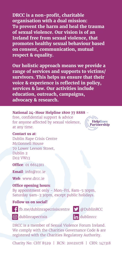**DRCC is a non-profit, charitable organisation with a dual mission: To prevent the harm and heal the trauma of sexual violence. Our vision is of an Ireland free from sexual violence, that promotes healthy sexual behaviour based on consent, communication, mutual respect & equality.**

**Our holistic approach means we provide a range of services and supports to victims/ survivors. This helps us ensure that their voice & experience is reflected in policy, services & law. Our activities include education, outreach, campaigns, advocacy & research.**

#### **National 24-Hour Helpline 1800 77 8888** -

free, confidential support & advice for anyone affected by sexual violence, at any time.

#### **Contact us at**:

Dublin Rape Crisis Centre McGonnell House 70 Lower Leeson Street, Dublin 2 D02 VW13

**Office**: 01 6614911

**Email**: info@rcc.ie

**Web**: www.drcc.ie

**Office opening hours**:

By appointment only - Mon-Fri, 8am-5:30pm, Saturday 9am-3:30pm, except public holidays.

### **Follow us on social!**



fb.me/dublinrapecrisiscentre @DublinRCC



G dublinrapecrisis and dublinrcc

DRCC is a member of Sexual Violence Forum Ireland. We comply with the Charities Governance Code & are registered with the Charities Regulatory Authority.

Charity No: CHY 8529 | RCN: 20021078 | CRN: 147318